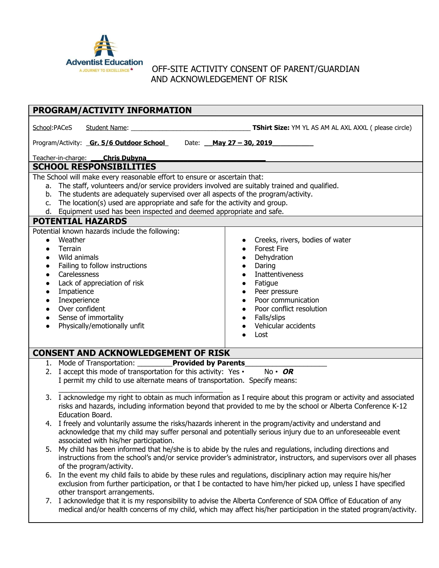

## OFF-SITE ACTIVITY CONSENT OF PARENT/GUARDIAN AND ACKNOWLEDGEMENT OF RISK

| PROGRAM/ACTIVITY INFORMATION                                                                                                                                  |                                                                                                                                                      |                                                                                                                      |  |  |
|---------------------------------------------------------------------------------------------------------------------------------------------------------------|------------------------------------------------------------------------------------------------------------------------------------------------------|----------------------------------------------------------------------------------------------------------------------|--|--|
| School:PACeS                                                                                                                                                  | Student Name:                                                                                                                                        | <b>TShirt Size:</b> YM YL AS AM AL AXL AXXL (please circle)                                                          |  |  |
|                                                                                                                                                               | Program/Activity: <b>Gr. 5/6 Outdoor School</b>                                                                                                      | Date: May 27 - 30, 2019                                                                                              |  |  |
|                                                                                                                                                               | Teacher-in-charge: ____Chris Dubyna                                                                                                                  |                                                                                                                      |  |  |
| <b>SCHOOL RESPONSIBILITIES</b>                                                                                                                                |                                                                                                                                                      |                                                                                                                      |  |  |
| The School will make every reasonable effort to ensure or ascertain that:                                                                                     |                                                                                                                                                      |                                                                                                                      |  |  |
| a. The staff, volunteers and/or service providers involved are suitably trained and qualified.                                                                |                                                                                                                                                      |                                                                                                                      |  |  |
| b. The students are adequately supervised over all aspects of the program/activity.                                                                           |                                                                                                                                                      |                                                                                                                      |  |  |
| The location(s) used are appropriate and safe for the activity and group.<br>$C_{1}$<br>d. Equipment used has been inspected and deemed appropriate and safe. |                                                                                                                                                      |                                                                                                                      |  |  |
| <b>POTENTIAL HAZARDS</b>                                                                                                                                      |                                                                                                                                                      |                                                                                                                      |  |  |
|                                                                                                                                                               | Potential known hazards include the following:                                                                                                       |                                                                                                                      |  |  |
| $\bullet$                                                                                                                                                     | Weather                                                                                                                                              | Creeks, rivers, bodies of water                                                                                      |  |  |
|                                                                                                                                                               | Terrain                                                                                                                                              | <b>Forest Fire</b><br>$\bullet$                                                                                      |  |  |
|                                                                                                                                                               | Wild animals                                                                                                                                         | Dehydration                                                                                                          |  |  |
| $\bullet$<br>$\bullet$                                                                                                                                        | Failing to follow instructions<br>Carelessness                                                                                                       | Daring<br><b>Inattentiveness</b>                                                                                     |  |  |
|                                                                                                                                                               | Lack of appreciation of risk                                                                                                                         | Fatigue                                                                                                              |  |  |
|                                                                                                                                                               | Impatience                                                                                                                                           | Peer pressure                                                                                                        |  |  |
|                                                                                                                                                               | Inexperience                                                                                                                                         | Poor communication                                                                                                   |  |  |
|                                                                                                                                                               | Over confident                                                                                                                                       | Poor conflict resolution                                                                                             |  |  |
| $\bullet$                                                                                                                                                     | Sense of immortality<br>Physically/emotionally unfit                                                                                                 | Falls/slips<br>Vehicular accidents                                                                                   |  |  |
|                                                                                                                                                               |                                                                                                                                                      | Lost                                                                                                                 |  |  |
|                                                                                                                                                               |                                                                                                                                                      |                                                                                                                      |  |  |
| <b>CONSENT AND ACKNOWLEDGEMENT OF RISK</b>                                                                                                                    |                                                                                                                                                      |                                                                                                                      |  |  |
|                                                                                                                                                               | 1. Mode of Transportation: Provided by Parents                                                                                                       |                                                                                                                      |  |  |
|                                                                                                                                                               | 2. I accept this mode of transportation for this activity: Yes $\cdot$<br>I permit my child to use alternate means of transportation. Specify means: | $No \cdot OR$                                                                                                        |  |  |
|                                                                                                                                                               |                                                                                                                                                      |                                                                                                                      |  |  |
|                                                                                                                                                               |                                                                                                                                                      | 3. I acknowledge my right to obtain as much information as I require about this program or activity and associated   |  |  |
|                                                                                                                                                               |                                                                                                                                                      | risks and hazards, including information beyond that provided to me by the school or Alberta Conference K-12         |  |  |
|                                                                                                                                                               | Education Board.                                                                                                                                     |                                                                                                                      |  |  |
|                                                                                                                                                               | 4. I freely and voluntarily assume the risks/hazards inherent in the program/activity and understand and                                             | acknowledge that my child may suffer personal and potentially serious injury due to an unforeseeable event           |  |  |
|                                                                                                                                                               | associated with his/her participation.                                                                                                               |                                                                                                                      |  |  |
|                                                                                                                                                               | 5. My child has been informed that he/she is to abide by the rules and regulations, including directions and                                         |                                                                                                                      |  |  |
|                                                                                                                                                               |                                                                                                                                                      | instructions from the school's and/or service provider's administrator, instructors, and supervisors over all phases |  |  |
|                                                                                                                                                               | of the program/activity.                                                                                                                             |                                                                                                                      |  |  |
| 6.                                                                                                                                                            | In the event my child fails to abide by these rules and regulations, disciplinary action may require his/her                                         | exclusion from further participation, or that I be contacted to have him/her picked up, unless I have specified      |  |  |
|                                                                                                                                                               | other transport arrangements.                                                                                                                        |                                                                                                                      |  |  |
| 7.                                                                                                                                                            |                                                                                                                                                      | I acknowledge that it is my responsibility to advise the Alberta Conference of SDA Office of Education of any        |  |  |
|                                                                                                                                                               |                                                                                                                                                      | medical and/or health concerns of my child, which may affect his/her participation in the stated program/activity.   |  |  |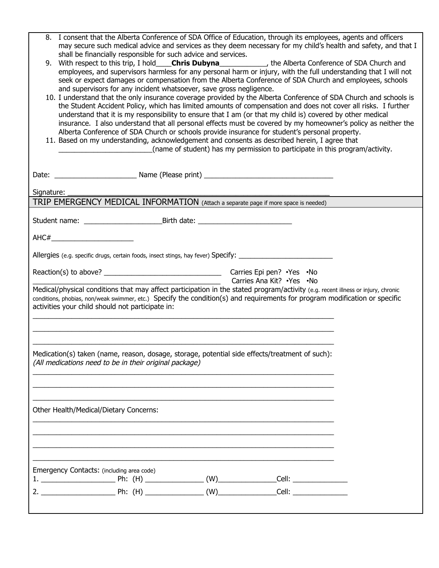|                                                                                                                                                                                                                                                                                                                     | Emergency Contacts: (including area code)                                                                                                                                                                                                                                                                                                                                                                                                                                                                                           |                                                                              |  |  |  |  |
|---------------------------------------------------------------------------------------------------------------------------------------------------------------------------------------------------------------------------------------------------------------------------------------------------------------------|-------------------------------------------------------------------------------------------------------------------------------------------------------------------------------------------------------------------------------------------------------------------------------------------------------------------------------------------------------------------------------------------------------------------------------------------------------------------------------------------------------------------------------------|------------------------------------------------------------------------------|--|--|--|--|
|                                                                                                                                                                                                                                                                                                                     |                                                                                                                                                                                                                                                                                                                                                                                                                                                                                                                                     |                                                                              |  |  |  |  |
|                                                                                                                                                                                                                                                                                                                     | Other Health/Medical/Dietary Concerns:                                                                                                                                                                                                                                                                                                                                                                                                                                                                                              |                                                                              |  |  |  |  |
|                                                                                                                                                                                                                                                                                                                     |                                                                                                                                                                                                                                                                                                                                                                                                                                                                                                                                     |                                                                              |  |  |  |  |
| Medication(s) taken (name, reason, dosage, storage, potential side effects/treatment of such):<br>(All medications need to be in their original package)                                                                                                                                                            |                                                                                                                                                                                                                                                                                                                                                                                                                                                                                                                                     |                                                                              |  |  |  |  |
|                                                                                                                                                                                                                                                                                                                     |                                                                                                                                                                                                                                                                                                                                                                                                                                                                                                                                     |                                                                              |  |  |  |  |
| Medical/physical conditions that may affect participation in the stated program/activity (e.g. recent illness or injury, chronic<br>conditions, phobias, non/weak swimmer, etc.) Specify the condition(s) and requirements for program modification or specific<br>activities your child should not participate in: |                                                                                                                                                                                                                                                                                                                                                                                                                                                                                                                                     |                                                                              |  |  |  |  |
| Carries Ana Kit? . Yes . No                                                                                                                                                                                                                                                                                         |                                                                                                                                                                                                                                                                                                                                                                                                                                                                                                                                     |                                                                              |  |  |  |  |
| Allergies (e.g. specific drugs, certain foods, insect stings, hay fever) Specify: ____________________________                                                                                                                                                                                                      |                                                                                                                                                                                                                                                                                                                                                                                                                                                                                                                                     |                                                                              |  |  |  |  |
|                                                                                                                                                                                                                                                                                                                     | AHC#___________________________                                                                                                                                                                                                                                                                                                                                                                                                                                                                                                     |                                                                              |  |  |  |  |
|                                                                                                                                                                                                                                                                                                                     |                                                                                                                                                                                                                                                                                                                                                                                                                                                                                                                                     |                                                                              |  |  |  |  |
| Signature:<br>TRIP EMERGENCY MEDICAL INFORMATION (Attach a separate page if more space is needed)                                                                                                                                                                                                                   |                                                                                                                                                                                                                                                                                                                                                                                                                                                                                                                                     |                                                                              |  |  |  |  |
|                                                                                                                                                                                                                                                                                                                     |                                                                                                                                                                                                                                                                                                                                                                                                                                                                                                                                     |                                                                              |  |  |  |  |
|                                                                                                                                                                                                                                                                                                                     |                                                                                                                                                                                                                                                                                                                                                                                                                                                                                                                                     |                                                                              |  |  |  |  |
|                                                                                                                                                                                                                                                                                                                     | insurance. I also understand that all personal effects must be covered by my homeowner's policy as neither the<br>Alberta Conference of SDA Church or schools provide insurance for student's personal property.<br>11. Based on my understanding, acknowledgement and consents as described herein, I agree that                                                                                                                                                                                                                   | (name of student) has my permission to participate in this program/activity. |  |  |  |  |
|                                                                                                                                                                                                                                                                                                                     | seek or expect damages or compensation from the Alberta Conference of SDA Church and employees, schools<br>and supervisors for any incident whatsoever, save gross negligence.<br>10. I understand that the only insurance coverage provided by the Alberta Conference of SDA Church and schools is<br>the Student Accident Policy, which has limited amounts of compensation and does not cover all risks. I further<br>understand that it is my responsibility to ensure that I am (or that my child is) covered by other medical |                                                                              |  |  |  |  |
| 9.                                                                                                                                                                                                                                                                                                                  | With respect to this trip, I hold____ <b>Chris Dubyna</b> ______________, the Alberta Conference of SDA Church and<br>employees, and supervisors harmless for any personal harm or injury, with the full understanding that I will not                                                                                                                                                                                                                                                                                              |                                                                              |  |  |  |  |
|                                                                                                                                                                                                                                                                                                                     | 8. I consent that the Alberta Conference of SDA Office of Education, through its employees, agents and officers<br>may secure such medical advice and services as they deem necessary for my child's health and safety, and that I<br>shall be financially responsible for such advice and services.                                                                                                                                                                                                                                |                                                                              |  |  |  |  |